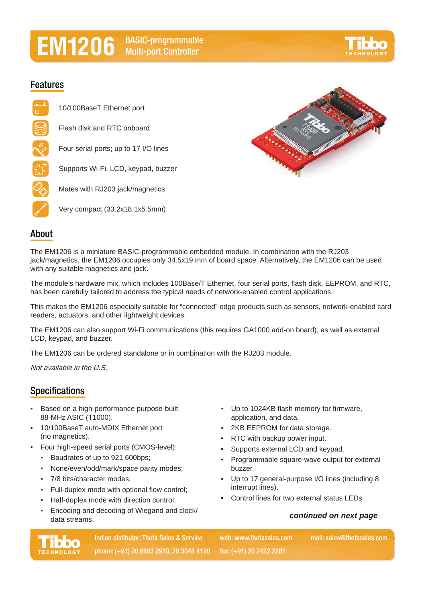# **BASIC-programmable Multi-port Controller**

## **Features**

10/100BaseT Ethernet port Flash disk and RTC onboard Four serial ports; up to 17 I/O lines Supports Wi-Fi, LCD, keypad, buzzer Mates with RJ203 jack/magnetics Very compact (33.2x18.1x5.5mm)



### **About**

The EM1206 is a miniature BASIC-programmable embedded module. In combination with the RJ203 jack/magnetics, the EM1206 occupies only 34.5x19 mm of board space. Alternatively, the EM1206 can be used with any suitable magnetics and jack.

The module's hardware mix, which includes 100Base/T Ethernet, four serial ports, flash disk, EEPROM, and RTC, has been carefully tailored to address the typical needs of network-enabled control applications.

This makes the EM1206 especially suitable for "connected" edge products such as sensors, network-enabled card readers, actuators, and other lightweight devices.

The EM1206 can also support Wi-Fi communications (this requires GA1000 add-on board), as well as external LCD, keypad, and buzzer.

The EM1206 can be ordered standalone or in combination with the RJ203 module.

Not available in the U.S.

### **Specifications**

- Based on a high-performance purpose-built 88-MHz ASIC (T1000).
- 10/100BaseT auto-MDIX Ethernet port (no magnetics).
- Four high-speed serial ports (CMOS-level):
	- Baudrates of up to 921,600bps;
	- None/even/odd/mark/space parity modes;
	- 7/8 bits/character modes;
	- Full-duplex mode with optional flow control;
	- Half-duplex mode with direction control;
	- Encoding and decoding of Wiegand and clock/ data streams.
- Up to 1024KB flash memory for firmware, application, and data.
- 2KB EEPROM for data storage.
- RTC with backup power input.
- Supports external LCD and keypad.
- Programmable square-wave output for external buzzer.
- Up to 17 general-purpose I/O lines (including 8 interrupt lines).
- Control lines for two external status LEDs.

#### *continued on next page*



**Indian distibutor: Theta Sales & Service by the way we we be used as come mail: sales@thetasales.com phone: (+91) 20 6603 2910, 20 3048 4190 fax: (+91) 20 2422 2201**

**web: www.thetasales.com**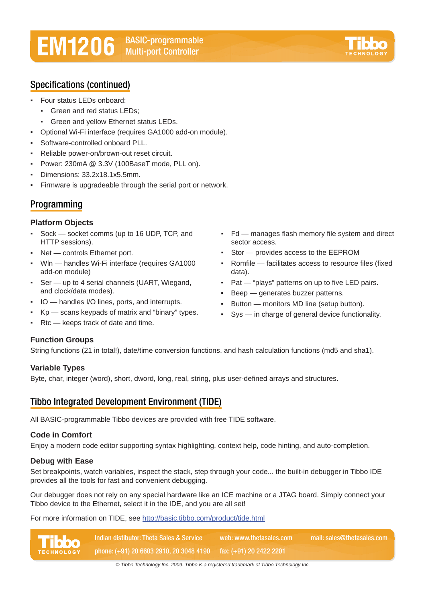# **BASIC-programmable Multi-port Controller**



## **Specifications (continued)**

- Four status LEDs onboard:
	- Green and red status LEDs:
	- Green and yellow Ethernet status LEDs.
- Optional Wi-Fi interface (requires GA1000 add-on module).
- Software-controlled onboard PLL.
- Reliable power-on/brown-out reset circuit.
- Power: 230mA @ 3.3V (100BaseT mode, PLL on).
- Dimensions: 33.2x18.1x5.5mm.
- Firmware is upgradeable through the serial port or network.

### **Programming**

#### **Platform Objects**

- Sock socket comms (up to 16 UDP, TCP, and HTTP sessions).
- Net controls Ethernet port.
- WIn handles Wi-Fi interface (requires GA1000 add-on module)
- Ser up to 4 serial channels (UART, Wiegand, and clock/data modes).
- IO handles I/O lines, ports, and interrupts.
- Kp scans keypads of matrix and "binary" types.
- $Rtc$  keeps track of date and time.

#### **Function Groups**

String functions (21 in total!), date/time conversion functions, and hash calculation functions (md5 and sha1).

#### **Variable Types**

Byte, char, integer (word), short, dword, long, real, string, plus user-defined arrays and structures.

### **Tibbo Integrated Development Environment (TIDE)**

All BASIC-programmable Tibbo devices are provided with free TIDE software.

#### **Code in Comfort**

Enjoy a modern code editor supporting syntax highlighting, context help, code hinting, and auto-completion.

#### **Debug with Ease**

Set breakpoints, watch variables, inspect the stack, step through your code... the built-in debugger in Tibbo IDE provides all the tools for fast and convenient debugging.

Our debugger does not rely on any special hardware like an ICE machine or a JTAG board. Simply connect your Tibbo device to the Ethernet, select it in the IDE, and you are all set!

For more information on TIDE, see http://basic.tibbo.com/product/tide.html



- Fd manages flash memory file system and direct sector access.
- Stor provides access to the EEPROM
- Romfile facilitates access to resource files (fixed data).
- Pat "plays" patterns on up to five LED pairs.
- Beep generates buzzer patterns.
- **•** Button monitors MD line (setup button).
- Sys in charge of general device functionality.